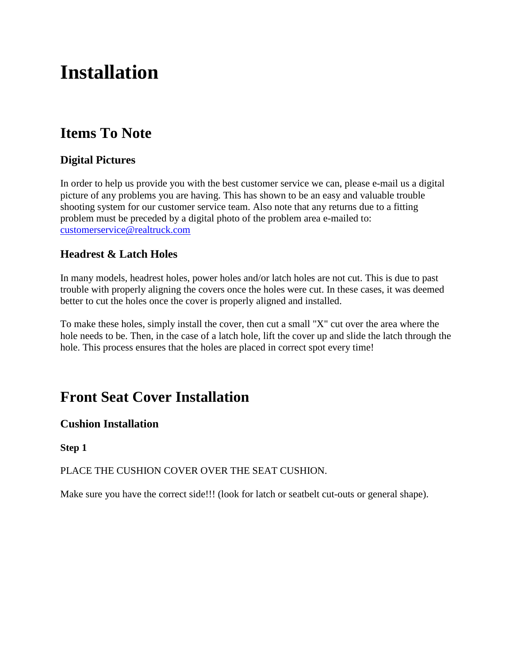# **Installation**

# **Items To Note**

# **Digital Pictures**

In order to help us provide you with the best customer service we can, please e-mail us a digital picture of any problems you are having. This has shown to be an easy and valuable trouble shooting system for our customer service team. Also note that any returns due to a fitting problem must be preceded by a digital photo of the problem area e-mailed to: customerservice@realtruck.com

### **Headrest & Latch Holes**

In many models, headrest holes, power holes and/or latch holes are not cut. This is due to past trouble with properly aligning the covers once the holes were cut. In these cases, it was deemed better to cut the holes once the cover is properly aligned and installed.

To make these holes, simply install the cover, then cut a small "X" cut over the area where the hole needs to be. Then, in the case of a latch hole, lift the cover up and slide the latch through the hole. This process ensures that the holes are placed in correct spot every time!

# **Front Seat Cover Installation**

### **Cushion Installation**

#### **Step 1**

PLACE THE CUSHION COVER OVER THE SEAT CUSHION.

Make sure you have the correct side!!! (look for latch or seatbelt cut-outs or general shape).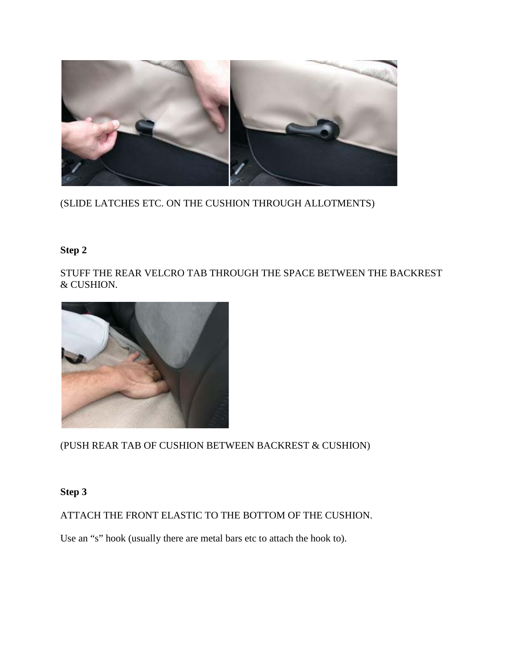

(SLIDE LATCHES ETC. ON THE CUSHION THROUGH ALLOTMENTS)

## **Step 2**

STUFF THE REAR VELCRO TAB THROUGH THE SPACE BETWEEN THE BACKREST & CUSHION.



(PUSH REAR TAB OF CUSHION BETWEEN BACKREST & CUSHION)

### **Step 3**

ATTACH THE FRONT ELASTIC TO THE BOTTOM OF THE CUSHION.

Use an "s" hook (usually there are metal bars etc to attach the hook to).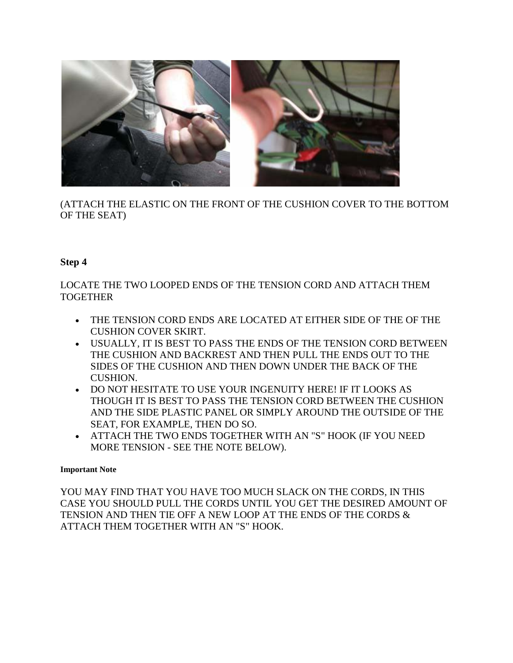

(ATTACH THE ELASTIC ON THE FRONT OF THE CUSHION COVER TO THE BOTTOM OF THE SEAT)

#### **Step 4**

LOCATE THE TWO LOOPED ENDS OF THE TENSION CORD AND ATTACH THEM TOGETHER

- THE TENSION CORD ENDS ARE LOCATED AT EITHER SIDE OF THE OF THE CUSHION COVER SKIRT.
- USUALLY, IT IS BEST TO PASS THE ENDS OF THE TENSION CORD BETWEEN THE CUSHION AND BACKREST AND THEN PULL THE ENDS OUT TO THE SIDES OF THE CUSHION AND THEN DOWN UNDER THE BACK OF THE CUSHION.
- DO NOT HESITATE TO USE YOUR INGENUITY HERE! IF IT LOOKS AS THOUGH IT IS BEST TO PASS THE TENSION CORD BETWEEN THE CUSHION AND THE SIDE PLASTIC PANEL OR SIMPLY AROUND THE OUTSIDE OF THE SEAT, FOR EXAMPLE, THEN DO SO.
- ATTACH THE TWO ENDS TOGETHER WITH AN "S" HOOK (IF YOU NEED MORE TENSION - SEE THE NOTE BELOW).

#### **Important Note**

YOU MAY FIND THAT YOU HAVE TOO MUCH SLACK ON THE CORDS, IN THIS CASE YOU SHOULD PULL THE CORDS UNTIL YOU GET THE DESIRED AMOUNT OF TENSION AND THEN TIE OFF A NEW LOOP AT THE ENDS OF THE CORDS & ATTACH THEM TOGETHER WITH AN "S" HOOK.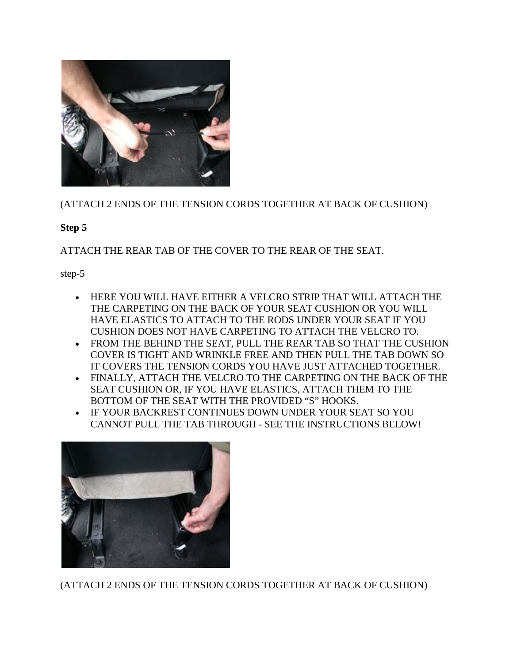

(ATTACH 2 ENDS OF THE TENSION CORDS TOGETHER AT BACK OF CUSHION)

#### **Step 5**

ATTACH THE REAR TAB OF THE COVER TO THE REAR OF THE SEAT.

step-5

- HERE YOU WILL HAVE EITHER A VELCRO STRIP THAT WILL ATTACH THE THE CARPETING ON THE BACK OF YOUR SEAT CUSHION OR YOU WILL HAVE ELASTICS TO ATTACH TO THE RODS UNDER YOUR SEAT IF YOU CUSHION DOES NOT HAVE CARPETING TO ATTACH THE VELCRO TO.
- FROM THE BEHIND THE SEAT, PULL THE REAR TAB SO THAT THE CUSHION COVER IS TIGHT AND WRINKLE FREE AND THEN PULL THE TAB DOWN SO IT COVERS THE TENSION CORDS YOU HAVE JUST ATTACHED TOGETHER.
- FINALLY, ATTACH THE VELCRO TO THE CARPETING ON THE BACK OF THE SEAT CUSHION OR, IF YOU HAVE ELASTICS, ATTACH THEM TO THE BOTTOM OF THE SEAT WITH THE PROVIDED "S" HOOKS.
- IF YOUR BACKREST CONTINUES DOWN UNDER YOUR SEAT SO YOU CANNOT PULL THE TAB THROUGH - SEE THE INSTRUCTIONS BELOW!



(ATTACH 2 ENDS OF THE TENSION CORDS TOGETHER AT BACK OF CUSHION)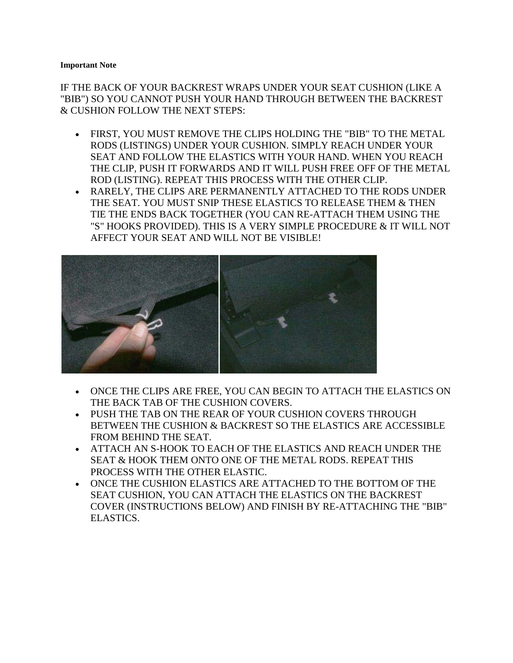#### **Important Note**

IF THE BACK OF YOUR BACKREST WRAPS UNDER YOUR SEAT CUSHION (LIKE A "BIB") SO YOU CANNOT PUSH YOUR HAND THROUGH BETWEEN THE BACKREST & CUSHION FOLLOW THE NEXT STEPS:

- FIRST, YOU MUST REMOVE THE CLIPS HOLDING THE "BIB" TO THE METAL RODS (LISTINGS) UNDER YOUR CUSHION. SIMPLY REACH UNDER YOUR SEAT AND FOLLOW THE ELASTICS WITH YOUR HAND. WHEN YOU REACH THE CLIP, PUSH IT FORWARDS AND IT WILL PUSH FREE OFF OF THE METAL ROD (LISTING). REPEAT THIS PROCESS WITH THE OTHER CLIP.
- RARELY, THE CLIPS ARE PERMANENTLY ATTACHED TO THE RODS UNDER THE SEAT. YOU MUST SNIP THESE ELASTICS TO RELEASE THEM & THEN TIE THE ENDS BACK TOGETHER (YOU CAN RE-ATTACH THEM USING THE "S" HOOKS PROVIDED). THIS IS A VERY SIMPLE PROCEDURE & IT WILL NOT AFFECT YOUR SEAT AND WILL NOT BE VISIBLE!



- ONCE THE CLIPS ARE FREE, YOU CAN BEGIN TO ATTACH THE ELASTICS ON THE BACK TAB OF THE CUSHION COVERS.
- PUSH THE TAB ON THE REAR OF YOUR CUSHION COVERS THROUGH BETWEEN THE CUSHION & BACKREST SO THE ELASTICS ARE ACCESSIBLE FROM BEHIND THE SEAT.
- ATTACH AN S-HOOK TO EACH OF THE ELASTICS AND REACH UNDER THE SEAT & HOOK THEM ONTO ONE OF THE METAL RODS. REPEAT THIS PROCESS WITH THE OTHER ELASTIC.
- ONCE THE CUSHION ELASTICS ARE ATTACHED TO THE BOTTOM OF THE SEAT CUSHION, YOU CAN ATTACH THE ELASTICS ON THE BACKREST COVER (INSTRUCTIONS BELOW) AND FINISH BY RE-ATTACHING THE "BIB" ELASTICS.